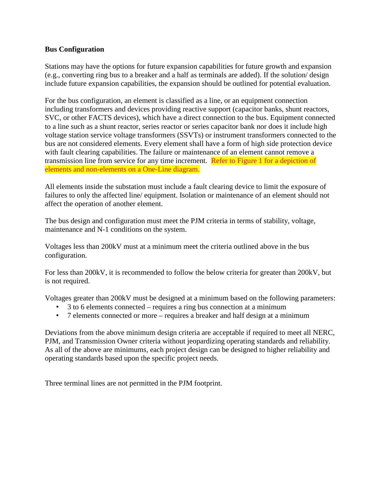## **Bus Configuration**

Stations may have the options for future expansion capabilities for future growth and expansion (e.g., converting ring bus to a breaker and a half as terminals are added). If the solution/ design include future expansion capabilities, the expansion should be outlined for potential evaluation.

For the bus configuration, an element is classified as a line, or an equipment connection including transformers and devices providing reactive support (capacitor banks, shunt reactors, SVC, or other FACTS devices), which have a direct connection to the bus. Equipment connected to a line such as a shunt reactor, series reactor or series capacitor bank nor does it include high voltage station service voltage transformers (SSVTs) or instrument transformers connected to the bus are not considered elements. Every element shall have a form of high side protection device with fault clearing capabilities. The failure or maintenance of an element cannot remove a transmission line from service for any time increment. Refer to Figure 1 for a depiction of elements and non-elements on a One-Line diagram.

All elements inside the substation must include a fault clearing device to limit the exposure of failures to only the affected line/ equipment. Isolation or maintenance of an element should not affect the operation of another element.

The bus design and configuration must meet the PJM criteria in terms of stability, voltage, maintenance and N-1 conditions on the system.

Voltages less than 200kV must at a minimum meet the criteria outlined above in the bus configuration.

For less than 200kV, it is recommended to follow the below criteria for greater than 200kV, but is not required.

Voltages greater than 200kV must be designed at a minimum based on the following parameters:

- 3 to 6 elements connected requires a ring bus connection at a minimum
- 7 elements connected or more requires a breaker and half design at a minimum

Deviations from the above minimum design criteria are acceptable if required to meet all NERC, PJM, and Transmission Owner criteria without jeopardizing operating standards and reliability. As all of the above are minimums, each project design can be designed to higher reliability and operating standards based upon the specific project needs.

Three terminal lines are not permitted in the PJM footprint.